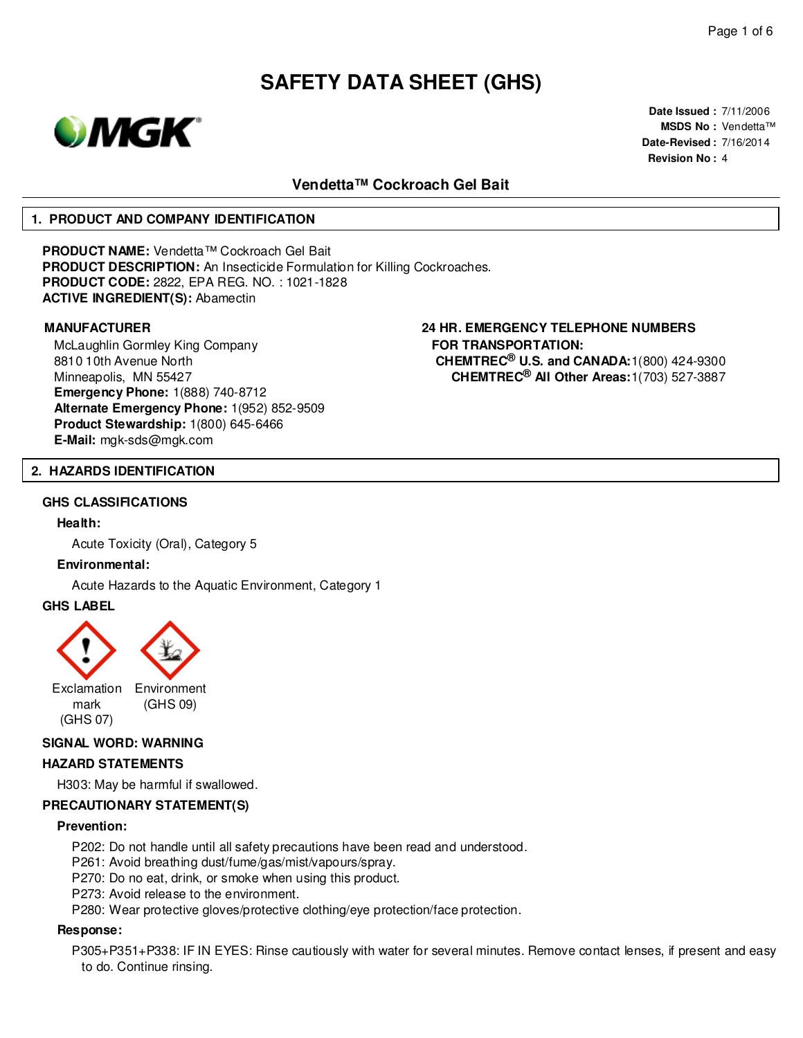

**Date Issued :** 7/11/2006 **MSDS No :** Vendetta™ **Date-Revised :** 7/16/2014 **Revision No :** 4

# **Vendetta™ Cockroach Gel Bait**

#### **1. PRODUCT AND COMPANY IDENTIFICATION**

**PRODUCT NAME:** Vendetta™ Cockroach Gel Bait **PRODUCT DESCRIPTION:** An Insecticide Formulation for Killing Cockroaches. **PRODUCT CODE:** 2822, EPA REG. NO. : 1021-1828 **ACTIVE INGREDIENT(S):** Abamectin

McLaughlin Gormley King Company 8810 10th Avenue North Minneapolis, MN 55427 **Emergency Phone:** 1(888) 740-8712 **Alternate Emergency Phone:** 1(952) 852-9509 **Product Stewardship:** 1(800) 645-6466 **E-Mail:** mgk-sds@mgk.com

**MANUFACTURER 24 HR. EMERGENCY TELEPHONE NUMBERS FOR TRANSPORTATION: CHEMTREC® U.S. and CANADA:**1(800) 424-9300 **CHEMTREC® All Other Areas:**1(703) 527-3887

#### **2. HAZARDS IDENTIFICATION**

#### **GHS CLASSIFICATIONS**

#### **Health:**

Acute Toxicity (Oral), Category 5

#### **Environmental:**

Acute Hazards to the Aquatic Environment, Category 1

#### **GHS LABEL**



#### **SIGNAL WORD: WARNING**

#### **HAZARD STATEMENTS**

H303: May be harmful if swallowed.

## **PRECAUTIONARY STATEMENT(S)**

#### **Prevention:**

- P202: Do not handle until all safety precautions have been read and understood.
- P261: Avoid breathing dust/fume/gas/mist/vapours/spray.
- P270: Do no eat, drink, or smoke when using this product.
- P273: Avoid release to the environment.
- P280: Wear protective gloves/protective clothing/eye protection/face protection.

#### **Response:**

P305+P351+P338: IF IN EYES: Rinse cautiously with water for several minutes. Remove contact lenses, if present and easy to do. Continue rinsing.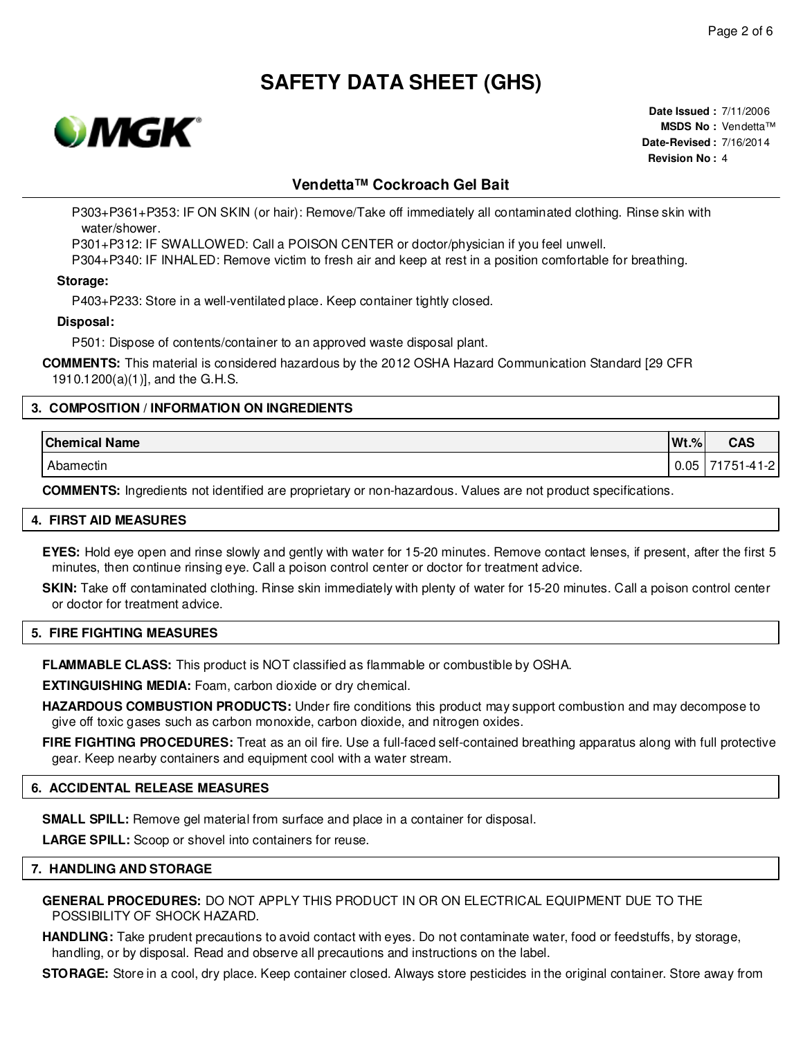

**Date Issued :** 7/11/2006 **MSDS No :** Vendetta™ **Date-Revised :** 7/16/2014 **Revision No :** 4

# **Vendetta™ Cockroach Gel Bait**

P303+P361+P353: IF ON SKIN (or hair): Remove/Take off immediately all contaminated clothing. Rinse skin with water/shower.

P301+P312: IF SWALLOWED: Call a POISON CENTER or doctor/physician if you feel unwell.

P304+P340: IF INHALED: Remove victim to fresh air and keep at rest in a position comfortable for breathing.

#### **Storage:**

P403+P233: Store in a well-ventilated place. Keep container tightly closed.

#### **Disposal:**

P501: Dispose of contents/container to an approved waste disposal plant.

**COMMENTS:** This material is considered hazardous by the 2012 OSHA Hazard Communication Standard [29 CFR 1910.1200(a)(1)], and the G.H.S.

### **3. COMPOSITION / INFORMATION ON INGREDIENTS**

| <b>Chemical Name</b> | $Wt.$ % | <b>CAS</b>            |
|----------------------|---------|-----------------------|
| Abamectin            | 0.05    | 41-2<br>1751.<br>$-4$ |

**COMMENTS:** Ingredients not identified are proprietary or non-hazardous. Values are not product specifications.

#### **4. FIRST AID MEASURES**

**EYES:** Hold eye open and rinse slowly and gently with water for 15-20 minutes. Remove contact lenses, if present, after the first 5 minutes, then continue rinsing eye. Call a poison control center or doctor for treatment advice.

**SKIN:** Take off contaminated clothing. Rinse skin immediately with plenty of water for 15-20 minutes. Call a poison control center or doctor for treatment advice.

#### **5. FIRE FIGHTING MEASURES**

**FLAMMABLE CLASS:** This product is NOT classified as flammable or combustible by OSHA.

**EXTINGUISHING MEDIA:** Foam, carbon dioxide or dry chemical.

**HAZARDOUS COMBUSTION PRODUCTS:** Under fire conditions this product may support combustion and may decompose to give off toxic gases such as carbon monoxide, carbon dioxide, and nitrogen oxides.

**FIRE FIGHTING PROCEDURES:** Treat as an oil fire. Use a full-faced self-contained breathing apparatus along with full protective gear. Keep nearby containers and equipment cool with a water stream.

#### **6. ACCIDENTAL RELEASE MEASURES**

**SMALL SPILL:** Remove gel material from surface and place in a container for disposal.

**LARGE SPILL:** Scoop or shovel into containers for reuse.

#### **7. HANDLING AND STORAGE**

**GENERAL PROCEDURES:** DO NOT APPLY THIS PRODUCT IN OR ON ELECTRICAL EQUIPMENT DUE TO THE POSSIBILITY OF SHOCK HAZARD.

**HANDLING:** Take prudent precautions to avoid contact with eyes. Do not contaminate water, food or feedstuffs, by storage, handling, or by disposal. Read and observe all precautions and instructions on the label.

**STORAGE:** Store in a cool, dry place. Keep container closed. Always store pesticides in the original container. Store away from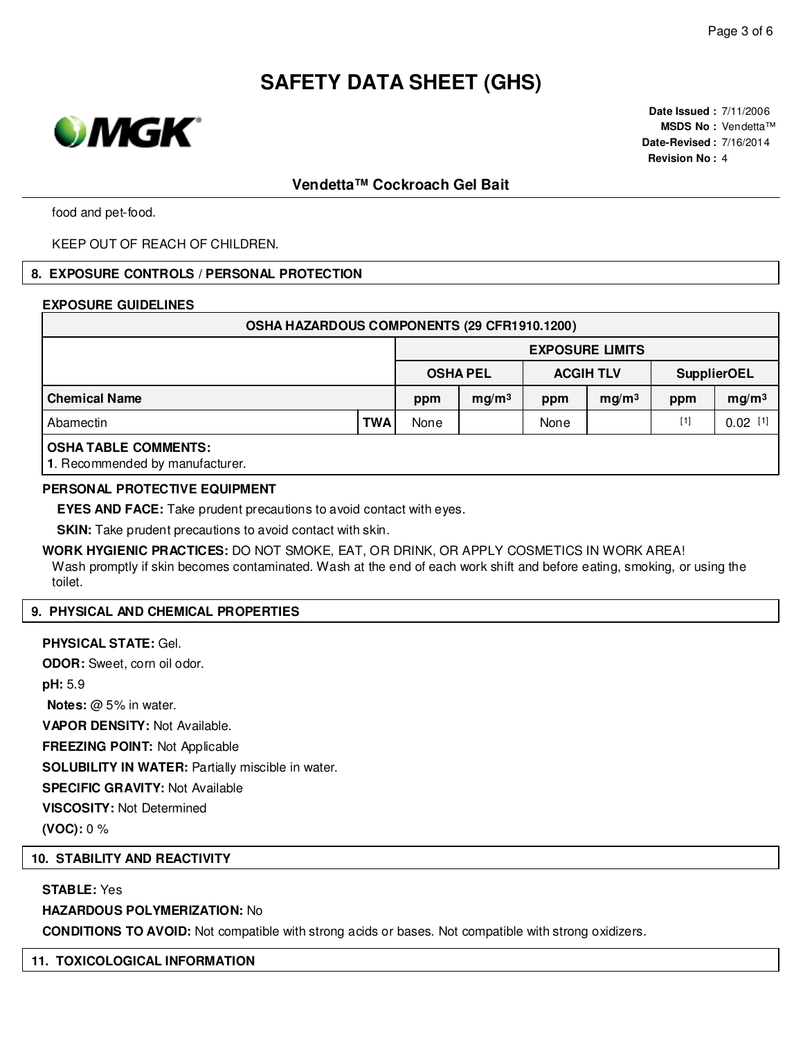

**Date Issued :** 7/11/2006 **MSDS No :** Vendetta™ **Date-Revised :** 7/16/2014 **Revision No :** 4

# **Vendetta™ Cockroach Gel Bait**

food and pet-food.

KEEP OUT OF REACH OF CHILDREN.

#### **8. EXPOSURE CONTROLS / PERSONAL PROTECTION**

#### **EXPOSURE GUIDELINES**

| OSHA HAZARDOUS COMPONENTS (29 CFR1910.1200) |            |                        |                   |      |                   |       |                    |  |  |
|---------------------------------------------|------------|------------------------|-------------------|------|-------------------|-------|--------------------|--|--|
|                                             |            | <b>EXPOSURE LIMITS</b> |                   |      |                   |       |                    |  |  |
|                                             |            |                        | <b>OSHA PEL</b>   |      | <b>ACGIH TLV</b>  |       | <b>SupplierOEL</b> |  |  |
| <b>Chemical Name</b>                        |            | ppm                    | mg/m <sup>3</sup> | ppm  | mg/m <sup>3</sup> | ppm   | mg/m <sup>3</sup>  |  |  |
| Abamectin                                   | <b>TWA</b> | None                   |                   | None |                   | $[1]$ | 0.02               |  |  |
| <b>OCUATADI E COMMENTS.</b>                 |            |                        |                   |      |                   |       |                    |  |  |

### **OSHA TABLE COMMENTS:**

**1**. Recommended by manufacturer.

#### **PERSONAL PROTECTIVE EQUIPMENT**

**EYES AND FACE:** Take prudent precautions to avoid contact with eyes.

**SKIN:** Take prudent precautions to avoid contact with skin.

**WORK HYGIENIC PRACTICES:** DO NOT SMOKE, EAT, OR DRINK, OR APPLY COSMETICS IN WORK AREA! Wash promptly if skin becomes contaminated. Wash at the end of each work shift and before eating, smoking, or using the toilet.

### **9. PHYSICAL AND CHEMICAL PROPERTIES**

#### **PHYSICAL STATE:** Gel.

**ODOR:** Sweet, corn oil odor. **pH:** 5.9 **Notes:** @ 5% in water. **VAPOR DENSITY:** Not Available. **FREEZING POINT:** Not Applicable **SOLUBILITY IN WATER:** Partially miscible in water. **SPECIFIC GRAVITY:** Not Available **VISCOSITY:** Not Determined **(VOC):** 0 %

#### **10. STABILITY AND REACTIVITY**

### **STABLE:** Yes

#### **HAZARDOUS POLYMERIZATION:** No

**CONDITIONS TO AVOID:** Not compatible with strong acids or bases. Not compatible with strong oxidizers.

#### **11. TOXICOLOGICAL INFORMATION**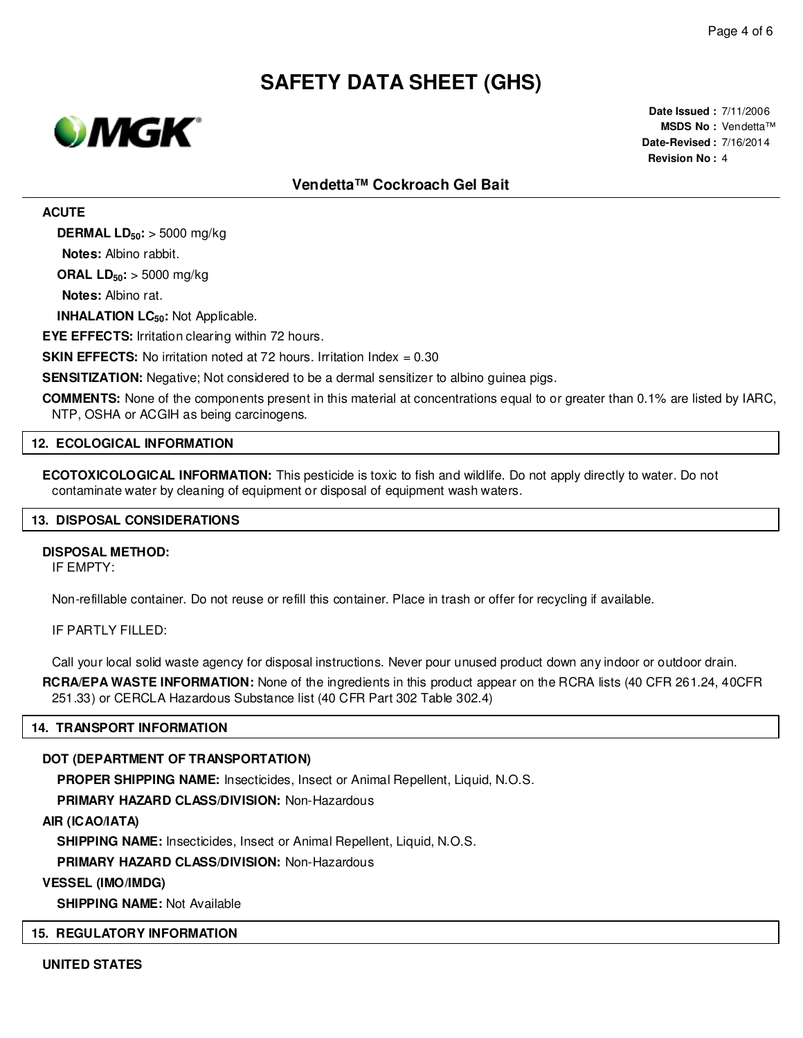

**Date Issued :** 7/11/2006 **MSDS No :** Vendetta™ **Date-Revised :** 7/16/2014 **Revision No :** 4

# **Vendetta™ Cockroach Gel Bait**

**ACUTE**

**DERMAL LD50:** > 5000 mg/kg

**Notes:** Albino rabbit.

**ORAL LD50:** > 5000 mg/kg

**Notes:** Albino rat.

**INHALATION LC50:** Not Applicable.

**EYE EFFECTS:** Irritation clearing within 72 hours.

**SKIN EFFECTS:** No irritation noted at 72 hours. Irritation Index  $= 0.30$ 

**SENSITIZATION:** Negative; Not considered to be a dermal sensitizer to albino guinea pigs.

**COMMENTS:** None of the components present in this material at concentrations equal to or greater than 0.1% are listed by IARC, NTP, OSHA or ACGIH as being carcinogens.

#### **12. ECOLOGICAL INFORMATION**

**ECOTOXICOLOGICAL INFORMATION:** This pesticide is toxic to fish and wildlife. Do not apply directly to water. Do not contaminate water by cleaning of equipment or disposal of equipment wash waters.

#### **13. DISPOSAL CONSIDERATIONS**

#### **DISPOSAL METHOD:**

IF EMPTY:

Non-refillable container. Do not reuse or refill this container. Place in trash or offer for recycling if available.

IF PARTLY FILLED:

Call your local solid waste agency for disposal instructions. Never pour unused product down any indoor or outdoor drain.

**RCRA/EPA WASTE INFORMATION:** None of the ingredients in this product appear on the RCRA lists (40 CFR 261.24, 40CFR 251.33) or CERCLA Hazardous Substance list (40 CFR Part 302 Table 302.4)

## **14. TRANSPORT INFORMATION**

# **DOT (DEPARTMENT OF TRANSPORTATION)**

**PROPER SHIPPING NAME:** Insecticides, Insect or Animal Repellent, Liquid, N.O.S.

**PRIMARY HAZARD CLASS/DIVISION:** Non-Hazardous

**AIR (ICAO/IATA)**

**SHIPPING NAME:** Insecticides, Insect or Animal Repellent, Liquid, N.O.S.

**PRIMARY HAZARD CLASS/DIVISION:** Non-Hazardous

**VESSEL (IMO/IMDG)**

**SHIPPING NAME:** Not Available

# **15. REGULATORY INFORMATION**

**UNITED STATES**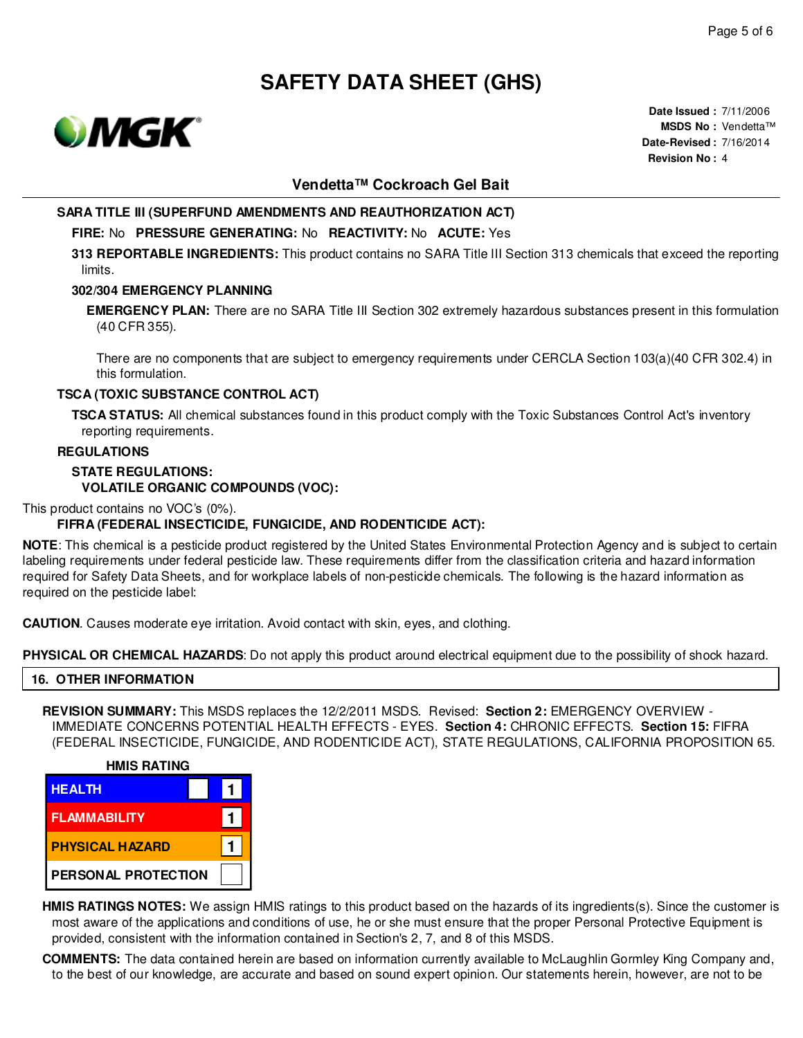

**Date Issued :** 7/11/2006 **MSDS No :** Vendetta™ **Date-Revised :** 7/16/2014 **Revision No :** 4

# **Vendetta™ Cockroach Gel Bait**

# **SARA TITLE III (SUPERFUND AMENDMENTS AND REAUTHORIZATION ACT)**

#### **FIRE:** No **PRESSURE GENERATING:** No **REACTIVITY:** No **ACUTE:** Yes

**313 REPORTABLE INGREDIENTS:** This product contains no SARA Title III Section 313 chemicals that exceed the reporting limits.

## **302/304 EMERGENCY PLANNING**

**EMERGENCY PLAN:** There are no SARA Title III Section 302 extremely hazardous substances present in this formulation (40 CFR 355).

There are no components that are subject to emergency requirements under CERCLA Section 103(a)(40 CFR 302.4) in this formulation.

### **TSCA (TOXIC SUBSTANCE CONTROL ACT)**

**TSCA STATUS:** All chemical substances found in this product comply with the Toxic Substances Control Act's inventory reporting requirements.

#### **REGULATIONS**

# **STATE REGULATIONS: VOLATILE ORGANIC COMPOUNDS (VOC):**

This product contains no VOC's (0%).

# **FIFRA (FEDERAL INSECTICIDE, FUNGICIDE, AND RODENTICIDE ACT):**

**NOTE**: This chemical is a pesticide product registered by the United States Environmental Protection Agency and is subject to certain labeling requirements under federal pesticide law. These requirements differ from the classification criteria and hazard information required for Safety Data Sheets, and for workplace labels of non-pesticide chemicals. The following is the hazard information as required on the pesticide label:

**CAUTION**. Causes moderate eye irritation. Avoid contact with skin, eyes, and clothing.

PHYSICAL OR CHEMICAL HAZARDS: Do not apply this product around electrical equipment due to the possibility of shock hazard.

# **16. OTHER INFORMATION**

**REVISION SUMMARY:** This MSDS replaces the 12/2/2011 MSDS. Revised: **Section 2:** EMERGENCY OVERVIEW - IMMEDIATE CONCERNS POTENTIAL HEALTH EFFECTS - EYES. **Section 4:** CHRONIC EFFECTS. **Section 15:** FIFRA (FEDERAL INSECTICIDE, FUNGICIDE, AND RODENTICIDE ACT), STATE REGULATIONS, CALIFORNIA PROPOSITION 65.



**HMIS RATINGS NOTES:** We assign HMIS ratings to this product based on the hazards of its ingredients(s). Since the customer is most aware of the applications and conditions of use, he or she must ensure that the proper Personal Protective Equipment is provided, consistent with the information contained in Section's 2, 7, and 8 of this MSDS.

**COMMENTS:** The data contained herein are based on information currently available to McLaughlin Gormley King Company and, to the best of our knowledge, are accurate and based on sound expert opinion. Our statements herein, however, are not to be